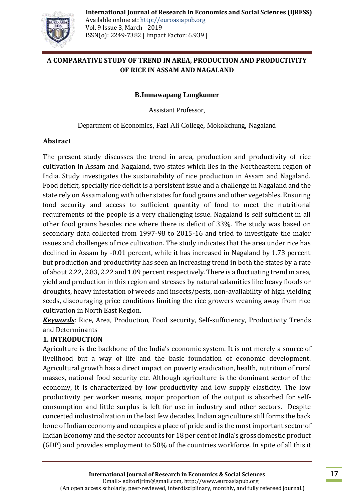

## **A COMPARATIVE STUDY OF TREND IN AREA, PRODUCTION AND PRODUCTIVITY OF RICE IN ASSAM AND NAGALAND**

#### **B.Imnawapang Longkumer**

Assistant Professor,

Department of Economics, Fazl Ali College, Mokokchung, Nagaland

### **Abstract**

The present study discusses the trend in area, production and productivity of rice cultivation in Assam and Nagaland, two states which lies in the Northeastern region of India. Study investigates the sustainability of rice production in Assam and Nagaland. Food deficit, specially rice deficit is a persistent issue and a challenge in Nagaland and the state rely on Assam along with other states for food grains and other vegetables. Ensuring food security and access to sufficient quantity of food to meet the nutritional requirements of the people is a very challenging issue. Nagaland is self sufficient in all other food grains besides rice where there is deficit of 33%. The study was based on secondary data collected from 1997-98 to 2015-16 and tried to investigate the major issues and challenges of rice cultivation. The study indicates that the area under rice has declined in Assam by -0.01 percent, while it has increased in Nagaland by 1.73 percent but production and productivity has seen an increasing trend in both the states by a rate of about 2.22, 2.83, 2.22 and 1.09 percent respectively. There is a fluctuating trend in area, yield and production in this region and stresses by natural calamities like heavy floods or droughts, heavy infestation of weeds and insects/pests, non-availability of high yielding seeds, discouraging price conditions limiting the rice growers weaning away from rice cultivation in North East Region.

*Keywords*: Rice, Area, Production, Food security, Self-sufficiency, Productivity Trends and Determinants

## **1. INTRODUCTION**

Agriculture is the backbone of the India's economic system. It is not merely a source of livelihood but a way of life and the basic foundation of economic development. Agricultural growth has a direct impact on poverty eradication, health, nutrition of rural masses, national food security etc. Although agriculture is the dominant sector of the economy, it is characterized by low productivity and low supply elasticity. The low productivity per worker means, major proportion of the output is absorbed for selfconsumption and little surplus is left for use in industry and other sectors. Despite concerted industrialization in the last few decades, Indian agriculture still forms the back bone of Indian economy and occupies a place of pride and is the most important sector of [Indian Economy](https://www.omicsonline.org/searchresult.php?keyword=Indian%20Economy) and the sector accounts for 18 per cent of India's gross domestic product (GDP) and provides [employment t](https://www.omicsonline.org/searchresult.php?keyword=employment)o 50% of the countries [workforce.](https://www.omicsonline.org/searchresult.php?keyword=workforce) In spite of all this it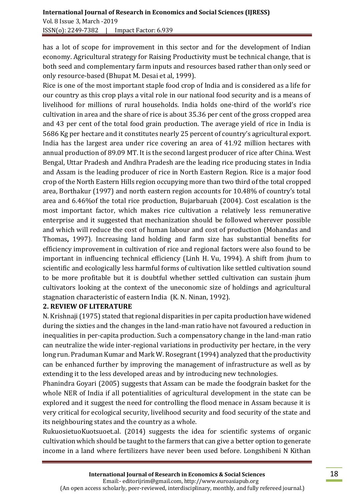# **International Journal of Research in Economics and Social Sciences (IJRESS)**  Vol. 8 Issue 3, March -2019

ISSN(o): 2249-7382 | Impact Factor: 6.939

has a lot of scope for improvement in this sector and for the development of Indian economy. Agricultural strategy for Raising Productivity must be technical change, that is both seed and complementary farm inputs and resources based rather than only seed or only resource-based (Bhupat M. Desai et al, 1999).

Rice is one of the most important staple food crop of India and is considered as a life for our country as this crop plays a vital role in our national food security and is a means of livelihood for millions of rural households. India holds one-third of the world's rice cultivation in area and the share of rice is about 35.36 per cent of the gross cropped area and 43 per cent of the total food grain production. The average yield of rice in India is 5686 Kg per hectare and it constitutes nearly 25 percent of country's agricultural export. India has the largest area under rice covering an area of 41.92 million hectares with annual production of 89.09 MT. It is the second largest producer of rice after China. West Bengal, Uttar Pradesh and Andhra Pradesh are the leading rice producing states in India and Assam is the leading producer of rice in North Eastern Region. Rice is a major food crop of the North Eastern Hills region occupying more than two third of the total cropped area, Borthakur (1997) and north eastern region accounts for 10.48% of country's total area and 6.46%of the total rice production, Bujarbaruah (2004). Cost escalation is the most important factor, which makes rice cultivation a relatively less remunerative enterprise and it suggested that mechanization should be followed wherever possible and which will reduce the cost of human labour and cost of production (Mohandas and Thomas**,** 1997). Increasing land holding and farm size has substantial benefits for efficiency improvement in cultivation of rice and regional factors were also found to be important in influencing technical efficiency (Linh H. Vu, 1994). A shift from jhum to scientific and ecologically less harmful forms of cultivation like settled cultivation sound to be more profitable but it is doubtful whether settled cultivation can sustain jhum cultivators looking at the context of the uneconomic size of holdings and agricultural stagnation characteristic of eastern India (K. N. Ninan, 1992).

## **2. REVIEW OF LITERATURE**

N. Krishnaji (1975) stated that regional disparities in per capita production have widened during the sixties and the changes in the land-man ratio have not favoured a reduction in inequalities in per-capita production. Such a compensatory change in the land-man ratio can neutralize the wide inter-regional variations in productivity per hectare, in the very long run. Praduman Kumar and Mark W. Rosegrant (1994) analyzed that the productivity can be enhanced further by improving the management of infrastructure as well as by extending it to the less developed areas and by introducing new technologies.

Phanindra Goyari (2005) suggests that Assam can be made the foodgrain basket for the whole NER of India if all potentialities of agricultural development in the state can be explored and it suggest the need for controlling the flood menace in Assam because it is very critical for ecological security, livelihood security and food security of the state and its neighbouring states and the country as a whole.

RukuosietuoKuotsuoet.al. (2014) suggests the idea for scientific systems of organic cultivation which should be taught to the farmers that can give a better option to generate income in a land where fertilizers have never been used before. Longshibeni N Kithan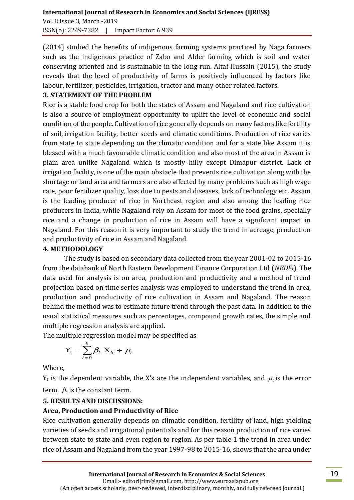(2014) studied the benefits of indigenous farming systems practiced by Naga farmers such as the indigenous practice of Zabo and Alder farming which is soil and water conserving oriented and is sustainable in the long run. Altaf Hussain (2015), the study reveals that the level of productivity of farms is positively influenced by factors like labour, fertilizer, pesticides, irrigation, tractor and many other related factors.

## **3. STATEMENT OF THE PROBLEM**

Rice is a stable food crop for both the states of Assam and Nagaland and rice cultivation is also a source of employment opportunity to uplift the level of economic and social condition of the people. Cultivation of rice generally depends on many factors like fertility of soil, irrigation facility, better seeds and climatic conditions. Production of rice varies from state to state depending on the climatic condition and for a state like Assam it is blessed with a much favourable climatic condition and also most of the area in Assam is plain area unlike Nagaland which is mostly hilly except Dimapur district. Lack of irrigation facility, is one of the main obstacle that prevents rice cultivation along with the shortage or land area and farmers are also affected by many problems such as high wage rate, poor fertilizer quality, loss due to pests and diseases, lack of technology etc. Assam is the leading producer of rice in Northeast region and also among the leading rice producers in India, while Nagaland rely on Assam for most of the food grains, specially rice and a change in production of rice in Assam will have a significant impact in Nagaland. For this reason it is very important to study the trend in acreage, production and productivity of rice in Assam and Nagaland.

## **4. METHODOLOGY**

The study is based on secondary data collected from the year 2001-02 to 2015-16 from the databank of North Eastern Development Finance Corporation Ltd (*NEDFi*). The data used for analysis is on area, production and productivity and a method of trend projection based on time series analysis was employed to understand the trend in area, production and productivity of rice cultivation in Assam and Nagaland. The reason behind the method was to estimate future trend through the past data. In addition to the usual statistical measures such as percentages, compound growth rates, the simple and multiple regression analysis are applied.

The multiple regression model may be specified as

$$
Y_t = \sum_{i=0}^k \beta_i \mathbf{X}_{it} + \mu_t
$$

Where,

 $Y_t$  is the dependent variable, the X's are the independent variables, and  $\mu_t$  is the error term.  $\beta_1$  is the constant term.

## **5. RESULTS AND DISCUSSIONS:**

## **Area, Production and Productivity of Rice**

Rice cultivation generally depends on climatic condition, fertility of land, high yielding varieties of seeds and irrigational potentials and for this reason production of rice varies between state to state and even region to region. As per table 1 the trend in area under rice of Assam and Nagaland from the year 1997-98 to 2015-16, shows that the area under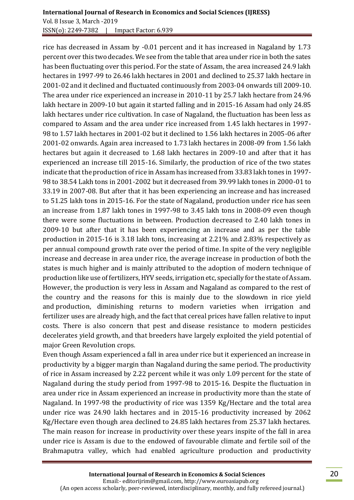rice has decreased in Assam by -0.01 percent and it has increased in Nagaland by 1.73 percent over this two decades. We see from the table that area under rice in both the sates has been fluctuating over this period. For the state of Assam, the area increased 24.9 lakh hectares in 1997-99 to 26.46 lakh hectares in 2001 and declined to 25.37 lakh hectare in 2001-02 and it declined and fluctuated continuously from 2003-04 onwards till 2009-10. The area under rice experienced an increase in 2010-11 by 25.7 lakh hectare from 24.96 lakh hectare in 2009-10 but again it started falling and in 2015-16 Assam had only 24.85 lakh hectares under rice cultivation. In case of Nagaland, the fluctuation has been less as compared to Assam and the area under rice increased from 1.45 lakh hectares in 1997- 98 to 1.57 lakh hectares in 2001-02 but it declined to 1.56 lakh hectares in 2005-06 after 2001-02 onwards. Again area increased to 1.73 lakh hectares in 2008-09 from 1.56 lakh hectares but again it decreased to 1.68 lakh hectares in 2009-10 and after that it has experienced an increase till 2015-16. Similarly, the production of rice of the two states indicate that the production of rice in Assam has increased from 33.83 lakh tones in 1997- 98 to 38.54 Lakh tons in 2001-2002 but it decreased from 39.99 lakh tones in 2000-01 to 33.19 in 2007-08. But after that it has been experiencing an increase and has increased to 51.25 lakh tons in 2015-16. For the state of Nagaland, production under rice has seen an increase from 1.87 lakh tones in 1997-98 to 3.45 lakh tons in 2008-09 even though there were some fluctuations in between. Production decreased to 2.40 lakh tones in 2009-10 but after that it has been experiencing an increase and as per the table production in 2015-16 is 3.18 lakh tons, increasing at 2.21% and 2.83% respectively as per annual compound growth rate over the period of time. In spite of the very negligible increase and decrease in area under rice, the average increase in production of both the states is much higher and is mainly attributed to the adoption of modern technique of production like use of fertilizers, HYV seeds, irrigation etc, specially for the state of Assam. However, the production is very less in Assam and Nagaland as compared to the rest of the country and the reasons for this is mainly due to the slowdown in rice yield and production, diminishing returns to modern varieties when irrigation and fertilizer uses are already high, and the fact that cereal prices have fallen relative to input costs. There is also concern that pest and disease resistance to modern pesticides decelerates yield growth, and that breeders have largely exploited the yield potential of major Green Revolution crops.

Even though Assam experienced a fall in area under rice but it experienced an increase in productivity by a bigger margin than Nagaland during the same period. The productivity of rice in Assam increased by 2.22 percent while it was only 1.09 percent for the state of Nagaland during the study period from 1997-98 to 2015-16. Despite the fluctuation in area under rice in Assam experienced an increase in productivity more than the state of Nagaland. In 1997-98 the productivity of rice was 1359 Kg/Hectare and the total area under rice was 24.90 lakh hectares and in 2015-16 productivity increased by 2062 Kg/Hectare even though area declined to 24.85 lakh hectares from 25.37 lakh hectares. The main reason for increase in productivity over these years inspite of the fall in area under rice is Assam is due to the endowed of favourable climate and fertile soil of the Brahmaputra valley, which had enabled agriculture production and productivity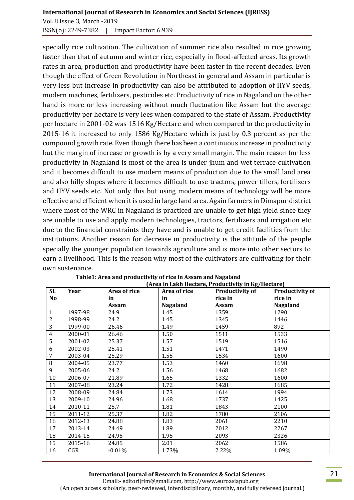### **International Journal of Research in Economics and Social Sciences (IJRESS)**  Vol. 8 Issue 3, March -2019 ISSN(o): 2249-7382 | Impact Factor: 6.939

specially rice cultivation. The cultivation of summer rice also resulted in rice growing faster than that of autumn and winter rice, especially in flood-affected areas. Its growth rates in area, production and productivity have been faster in the recent decades. Even though the effect of Green Revolution in Northeast in general and Assam in particular is very less but increase in productivity can also be attributed to adoption of HYV seeds, modern machines, fertilizers, pesticides etc. Productivity of rice in Nagaland on the other hand is more or less increasing without much fluctuation like Assam but the average productivity per hectare is very lees when compared to the state of Assam. Productivity per hectare in 2001-02 was 1516 Kg/Hectare and when compared to the productivity in 2015-16 it increased to only 1586 Kg/Hectare which is just by 0.3 percent as per the compound growth rate. Even though there has been a continuous increase in productivity but the margin of increase or growth is by a very small margin. The main reason for less productivity in Nagaland is most of the area is under jhum and wet terrace cultivation and it becomes difficult to use modern means of production due to the small land area and also hilly slopes where it becomes difficult to use tractors, power tillers, fertilizers and HYV seeds etc. Not only this but using modern means of technology will be more effective and efficient when it is used in large land area. Again farmers in Dimapur district where most of the WRC in Nagaland is practiced are unable to get high yield since they are unable to use and apply modern technologies, tractors, fertilizers and irrigation etc due to the financial constraints they have and is unable to get credit facilities from the institutions. Another reason for decrease in productivity is the attitude of the people specially the younger population towards agriculture and is more into other sectors to earn a livelihood. This is the reason why most of the cultivators are cultivating for their own sustenance.

| SI.            | Year    | Area of rice | Area of rice             | <b>Productivity of</b> | <b>Productivity of</b> |  |
|----------------|---------|--------------|--------------------------|------------------------|------------------------|--|
| No             |         | in           | in                       | rice in                | rice in                |  |
|                |         | Assam        | <b>Nagaland</b><br>Assam |                        | <b>Nagaland</b>        |  |
| $\mathbf{1}$   | 1997-98 | 24.9         | 1.45                     | 1359                   | 1290                   |  |
| $\overline{2}$ | 1998-99 | 24.2         | 1.45                     | 1345                   | 1446                   |  |
| 3              | 1999-00 | 26.46        | 1.49                     | 1459                   | 892                    |  |
| 4              | 2000-01 | 26.46        | 1.50                     | 1511                   | 1533                   |  |
| 5              | 2001-02 | 25.37        | 1.57<br>1519             |                        | 1516                   |  |
| 6              | 2002-03 | 25.41        | 1.51                     | 1471                   | 1490                   |  |
| 7              | 2003-04 | 25.29        | 1.55                     | 1534                   | 1600                   |  |
| 8              | 2004-05 | 23.77        | 1.53                     | 1460                   | 1698                   |  |
| 9              | 2005-06 | 24.2         | 1.56                     | 1468                   | 1682                   |  |
| 10             | 2006-07 | 21.89        | 1.65                     | 1332                   | 1600                   |  |
| 11             | 2007-08 | 23.24        | 1.72                     | 1428                   | 1685                   |  |
| 12             | 2008-09 | 24.84        | 1.73                     | 1614                   | 1994                   |  |
| 13             | 2009-10 | 24.96        | 1.68                     | 1737                   | 1425                   |  |
| 14             | 2010-11 | 25.7         | 1.81                     | 1843                   | 2100                   |  |
| 15             | 2011-12 | 25.37        | 1.82                     | 1780                   | 2106                   |  |
| 16             | 2012-13 | 24.88        | 1.83                     | 2061                   | 2210                   |  |
| 17             | 2013-14 | 24.49        | 1.89                     | 2012                   | 2267                   |  |
| 18             | 2014-15 | 24.95        | 1.95                     | 2093                   | 2326                   |  |
| 15             | 2015-16 | 24.85        | 2.01                     | 2062                   | 1586                   |  |
| 16             | CGR     | $-0.01%$     | 1.73%                    | 2.22%                  | 1.09%                  |  |

#### **Table1: Area and productivity of rice in Assam and Nagaland (Area in Lakh Hectare, Productivity in Kg/Hectare)**

#### **International Journal of Research in Economics & Social Sciences**

 Email:- editorijrim@gmail.com, http://www.euroasiapub.org (An open access scholarly, peer-reviewed, interdisciplinary, monthly, and fully refereed journal.)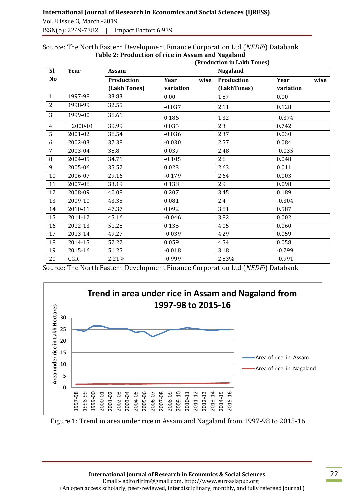#### Source: The North Eastern Development Finance Corporation Ltd (*NEDFi*) Databank  **Table 2: Production of rice in Assam and Nagaland**

|                 |         | (Production in Lakh Tones) |              |             |              |  |  |
|-----------------|---------|----------------------------|--------------|-------------|--------------|--|--|
| Sl.             | Year    | Assam                      |              | Nagaland    |              |  |  |
| N <sub>o</sub>  |         | Production                 | wise<br>Year | Production  | Year<br>wise |  |  |
|                 |         | (Lakh Tones)               | variation    | (LakhTones) | variation    |  |  |
| $\mathbf{1}$    | 1997-98 | 33.83                      | 0.00         | 1.87        | 0.00         |  |  |
| $\overline{2}$  | 1998-99 | 32.55                      | $-0.037$     | 2.11        | 0.128        |  |  |
| 3               | 1999-00 | 38.61                      | 0.186        | 1.32        | $-0.374$     |  |  |
| $\overline{4}$  | 2000-01 | 39.99                      | 0.035        | 2.3         | 0.742        |  |  |
| 5               | 2001-02 | 38.54                      | $-0.036$     | 2.37        | 0.030        |  |  |
| 6               | 2002-03 | 37.38                      | $-0.030$     | 2.57        | 0.084        |  |  |
| $7\overline{ }$ | 2003-04 | 38.8                       | 0.037        | 2.48        | $-0.035$     |  |  |
| 8               | 2004-05 | 34.71                      | $-0.105$     | 2.6         | 0.048        |  |  |
| 9               | 2005-06 | 35.52                      | 0.023        | 2.63        | 0.011        |  |  |
| 10              | 2006-07 | 29.16                      | $-0.179$     | 2.64        | 0.003        |  |  |
| 11              | 2007-08 | 33.19                      | 0.138        | 2.9         | 0.098        |  |  |
| 12              | 2008-09 | 40.08                      | 0.207        | 3.45        | 0.189        |  |  |
| 13              | 2009-10 | 43.35                      | 0.081        | 2.4         | $-0.304$     |  |  |
| 14              | 2010-11 | 47.37                      | 0.092        | 3.81        | 0.587        |  |  |
| 15              | 2011-12 | 45.16                      | $-0.046$     | 3.82        | 0.002        |  |  |
| 16              | 2012-13 | 51.28                      | 0.135        | 4.05        | 0.060        |  |  |
| 17              | 2013-14 | 49.27                      | $-0.039$     | 4.29        | 0.059        |  |  |
| 18              | 2014-15 | 52.22                      | 0.059        | 4.54        | 0.058        |  |  |
| 19              | 2015-16 | 51.25                      | $-0.018$     | 3.18        | $-0.299$     |  |  |
| 20              | CGR     | 2.21%                      | $-0.999$     | 2.83%       | $-0.991$     |  |  |

Source: The North Eastern Development Finance Corporation Ltd (*NEDFi*) Databank



Figure 1: Trend in area under rice in Assam and Nagaland from 1997-98 to 2015-16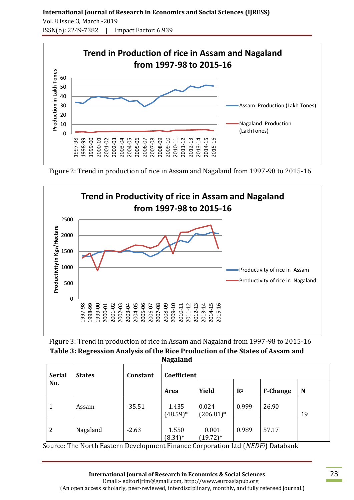## **International Journal of Research in Economics and Social Sciences (IJRESS)**  Vol. 8 Issue 3, March -2019 ISSN(o): 2249-7382 | Impact Factor: 6.939



Figure 2: Trend in production of rice in Assam and Nagaland from 1997-98 to 2015-16



| Figure 3: Trend in production of rice in Assam and Nagaland from 1997-98 to 2015-16 |
|-------------------------------------------------------------------------------------|
| Table 3: Regression Analysis of the Rice Production of the States of Assam and      |
| <b>Nagaland</b>                                                                     |

| <b>Serial</b> | <b>States</b> | Constant | $\mathbf{C}$<br>Coefficient |                       |                |                 |    |
|---------------|---------------|----------|-----------------------------|-----------------------|----------------|-----------------|----|
| No.           |               |          | Area                        | Yield                 | $\mathbf{R}^2$ | <b>F-Change</b> | N  |
| 1             | Assam         | $-35.51$ | 1.435<br>$(48.59)*$         | 0.024<br>$(206.81)^*$ | 0.999          | 26.90           | 19 |
| 2             | Nagaland      | $-2.63$  | 1.550<br>$(8.34)^*$         | 0.001<br>$(19.72)*$   | 0.989          | 57.17           |    |

Source: The North Eastern Development Finance Corporation Ltd (*NEDFi*) Databank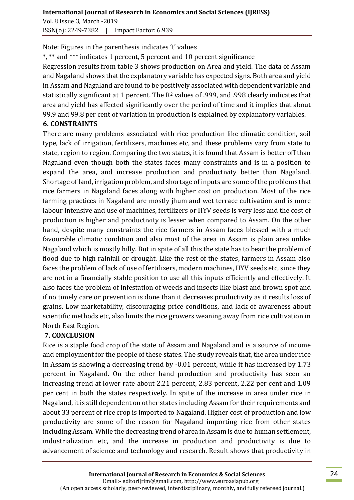Vol. 8 Issue 3, March -2019 ISSN(o): 2249-7382 | Impact Factor: 6.939

Note: Figures in the parenthesis indicates 't' values

\*, \*\* and \*\*\* indicates 1 percent, 5 percent and 10 percent significance

Regression results from table 3 shows production on Area and yield. The data of Assam and Nagaland shows that the explanatory variable has expected signs. Both area and yield in Assam and Nagaland are found to be positively associated with dependent variable and statistically significant at 1 percent. The R<sup>2</sup> values of .999, and .998 clearly indicates that area and yield has affected significantly over the period of time and it implies that about 99.9 and 99.8 per cent of variation in production is explained by explanatory variables.

## **6. CONSTRAINTS**

There are many problems associated with rice production like climatic condition, soil type, lack of irrigation, fertilizers, machines etc, and these problems vary from state to state, region to region. Comparing the two states, it is found that Assam is better off than Nagaland even though both the states faces many constraints and is in a position to expand the area, and increase production and productivity better than Nagaland. Shortage of land, irrigation problem, and shortage of inputs are some of the problems that rice farmers in Nagaland faces along with higher cost on production. Most of the rice farming practices in Nagaland are mostly jhum and wet terrace cultivation and is more labour intensive and use of machines, fertilizers or HYV seeds is very less and the cost of production is higher and productivity is lesser when compared to Assam. On the other hand, despite many constraints the rice farmers in Assam faces blessed with a much favourable climatic condition and also most of the area in Assam is plain area unlike Nagaland which is mostly hilly. But in spite of all this the state has to bear the problem of flood due to high rainfall or drought. Like the rest of the states, farmers in Assam also faces the problem of lack of use of fertilizers, modern machines, HYV seeds etc, since they are not in a financially stable position to use all this inputs efficiently and effectively. It also faces the problem of infestation of weeds and insects like blast and brown spot and if no timely care or prevention is done than it decreases productivity as it results loss of grains. Low marketability, discouraging price conditions, and lack of awareness about scientific methods etc, also limits the rice growers weaning away from rice cultivation in North East Region.

## **7. CONCLUSION**

Rice is a staple food crop of the state of Assam and Nagaland and is a source of income and employment for the people of these states. The study reveals that, the area under rice in Assam is showing a decreasing trend by -0.01 percent, while it has increased by 1.73 percent in Nagaland. On the other hand production and productivity has seen an increasing trend at lower rate about 2.21 percent, 2.83 percent, 2.22 per cent and 1.09 per cent in both the states respectively. In spite of the increase in area under rice in Nagaland, it is still dependent on other states including Assam for their requirements and about 33 percent of rice crop is imported to Nagaland. Higher cost of production and low productivity are some of the reason for Nagaland importing rice from other states including Assam. While the decreasing trend of area in Assam is due to human settlement, industrialization etc, and the increase in production and productivity is due to advancement of science and technology and research. Result shows that productivity in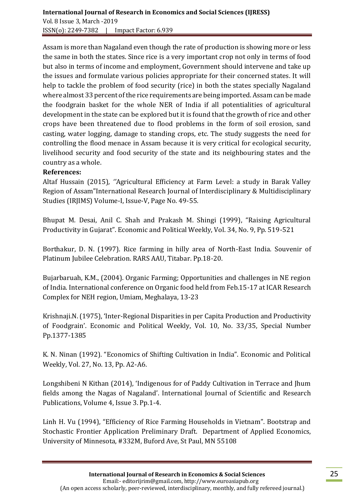Assam is more than Nagaland even though the rate of production is showing more or less the same in both the states. Since rice is a very important crop not only in terms of food but also in terms of income and employment, Government should intervene and take up the issues and formulate various policies appropriate for their concerned states. It will help to tackle the problem of food security (rice) in both the states specially Nagaland where almost 33 percent of the rice requirements are being imported. Assam can be made the foodgrain basket for the whole NER of India if all potentialities of agricultural development in the state can be explored but it is found that the growth of rice and other crops have been threatened due to flood problems in the form of soil erosion, sand casting, water logging, damage to standing crops, etc. The study suggests the need for controlling the flood menace in Assam because it is very critical for ecological security, livelihood security and food security of the state and its neighbouring states and the country as a whole.

### **References:**

Altaf Hussain (2015)*, ''*Agricultural Efficiency at Farm Level: a study in Barak Valley Region of Assam"International Research Journal of Interdisciplinary & Multidisciplinary Studies (IRJIMS) Volume-I, Issue-V, Page No. 49-55*.*

Bhupat M. Desai, Anil C. Shah and Prakash M. Shingi (1999), "Raising Agricultural Productivity in Gujarat". Economic and Political Weekly, Vol. 34, No. 9, Pp. 519-521

Borthakur, D. N. (1997). Rice farming in hilly area of North-East India. Souvenir of Platinum Jubilee Celebration. RARS AAU, Titabar. Pp.18-20.

Bujarbaruah, K.M., (2004). Organic Farming; Opportunities and challenges in NE region of India. International conference on Organic food held from Feb.15-17 at ICAR Research Complex for NEH region, Umiam, Meghalaya, 13-23

Krishnaji.N. (1975), 'Inter-Regional Disparities in per Capita Production and Productivity of Foodgrain'. Economic and Political Weekly, Vol. 10, No. 33/35, Special Number Pp.1377-1385

K. N. Ninan (1992). "Economics of Shifting Cultivation in India". Economic and Political Weekly, Vol. 27, No. 13, Pp. A2-A6.

Longshibeni N Kithan (2014), 'Indigenous for of Paddy Cultivation in Terrace and Jhum fields among the Nagas of Nagaland'. International Journal of Scientific and Research Publications, Volume 4, Issue 3. Pp.1-4.

Linh H. Vu (1994), "Efficiency of Rice Farming Households in Vietnam". Bootstrap and Stochastic Frontier Application Preliminary Draft. Department of Applied Economics, University of Minnesota, #332M, Buford Ave, St Paul, MN 55108